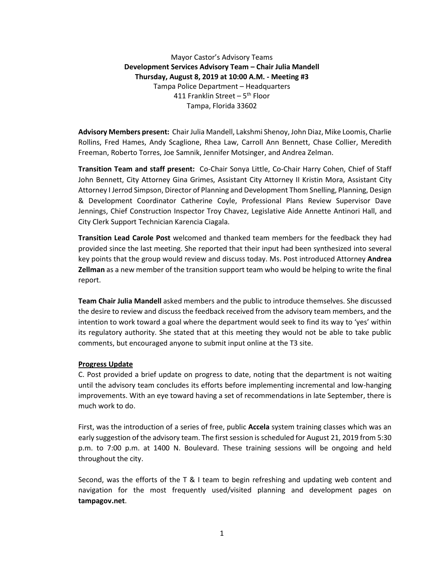Mayor Castor's Advisory Teams **Development Services Advisory Team – Chair Julia Mandell Thursday, August 8, 2019 at 10:00 A.M. - Meeting #3** Tampa Police Department – Headquarters 411 Franklin Street – 5<sup>th</sup> Floor Tampa, Florida 33602

**Advisory Members present:** Chair Julia Mandell, Lakshmi Shenoy, John Diaz, Mike Loomis, Charlie Rollins, Fred Hames, Andy Scaglione, Rhea Law, Carroll Ann Bennett, Chase Collier, Meredith Freeman, Roberto Torres, Joe Samnik, Jennifer Motsinger, and Andrea Zelman.

**Transition Team and staff present:** Co-Chair Sonya Little, Co-Chair Harry Cohen, Chief of Staff John Bennett, City Attorney Gina Grimes, Assistant City Attorney II Kristin Mora, Assistant City Attorney I Jerrod Simpson, Director of Planning and Development Thom Snelling, Planning, Design & Development Coordinator Catherine Coyle, Professional Plans Review Supervisor Dave Jennings, Chief Construction Inspector Troy Chavez, Legislative Aide Annette Antinori Hall, and City Clerk Support Technician Karencia Ciagala.

**Transition Lead Carole Post** welcomed and thanked team members for the feedback they had provided since the last meeting. She reported that their input had been synthesized into several key points that the group would review and discuss today. Ms. Post introduced Attorney **Andrea Zellman** as a new member of the transition support team who would be helping to write the final report.

**Team Chair Julia Mandell** asked members and the public to introduce themselves. She discussed the desire to review and discuss the feedback received from the advisory team members, and the intention to work toward a goal where the department would seek to find its way to 'yes' within its regulatory authority. She stated that at this meeting they would not be able to take public comments, but encouraged anyone to submit input online at the T3 site.

# **Progress Update**

C. Post provided a brief update on progress to date, noting that the department is not waiting until the advisory team concludes its efforts before implementing incremental and low-hanging improvements. With an eye toward having a set of recommendations in late September, there is much work to do.

First, was the introduction of a series of free, public **Accela** system training classes which was an early suggestion of the advisory team. The first session is scheduled for August 21, 2019 from 5:30 p.m. to 7:00 p.m. at 1400 N. Boulevard. These training sessions will be ongoing and held throughout the city.

Second, was the efforts of the T & I team to begin refreshing and updating web content and navigation for the most frequently used/visited planning and development pages on **tampagov.net**.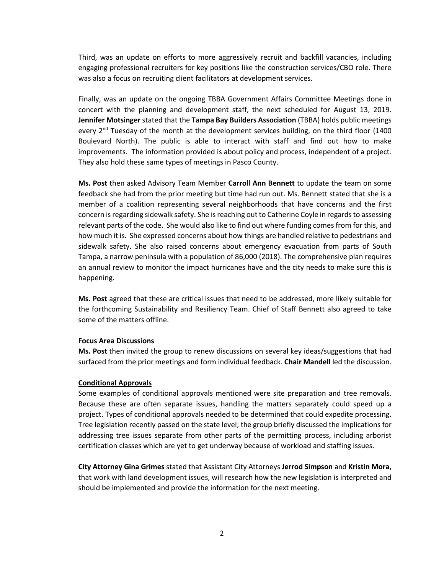Third, was an update on efforts to more aggressively recruit and backfill vacancies, including engaging professional recruiters for key positions like the construction services/CBO role. There was also a focus on recruiting client facilitators at development services.

Finally, was an update on the ongoing TBBA Government Affairs Committee Meetings done in concert with the planning and development staff, the next scheduled for August 13, 2019. **Jennifer Motsinger** stated that the **Tampa Bay Builders Association** (TBBA) holds public meetings every  $2^{nd}$  Tuesday of the month at the development services building, on the third floor (1400 Boulevard North). The public is able to interact with staff and find out how to make improvements. The information provided is about policy and process, independent of a project. They also hold these same types of meetings in Pasco County.

**Ms. Post** then asked Advisory Team Member **Carroll Ann Bennett** to update the team on some feedback she had from the prior meeting but time had run out. Ms. Bennett stated that she is a member of a coalition representing several neighborhoods that have concerns and the first concern is regarding sidewalk safety. She is reaching out to Catherine Coyle in regards to assessing relevant parts of the code. She would also like to find out where funding comes from for this, and how much it is. She expressed concerns about how things are handled relative to pedestrians and sidewalk safety. She also raised concerns about emergency evacuation from parts of South Tampa, a narrow peninsula with a population of 86,000 (2018). The comprehensive plan requires an annual review to monitor the impact hurricanes have and the city needs to make sure this is happening.

**Ms. Post** agreed that these are critical issues that need to be addressed, more likely suitable for the forthcoming Sustainability and Resiliency Team. Chief of Staff Bennett also agreed to take some of the matters offline.

### **Focus Area Discussions**

**Ms. Post** then invited the group to renew discussions on several key ideas/suggestions that had surfaced from the prior meetings and form individual feedback. **Chair Mandell** led the discussion.

#### **Conditional Approvals**

Some examples of conditional approvals mentioned were site preparation and tree removals. Because these are often separate issues, handling the matters separately could speed up a project. Types of conditional approvals needed to be determined that could expedite processing. Tree legislation recently passed on the state level; the group briefly discussed the implications for addressing tree issues separate from other parts of the permitting process, including arborist certification classes which are yet to get underway because of workload and staffing issues.

**City Attorney Gina Grimes** stated that Assistant City Attorneys **Jerrod Simpson** and **Kristin Mora,** that work with land development issues, will research how the new legislation is interpreted and should be implemented and provide the information for the next meeting.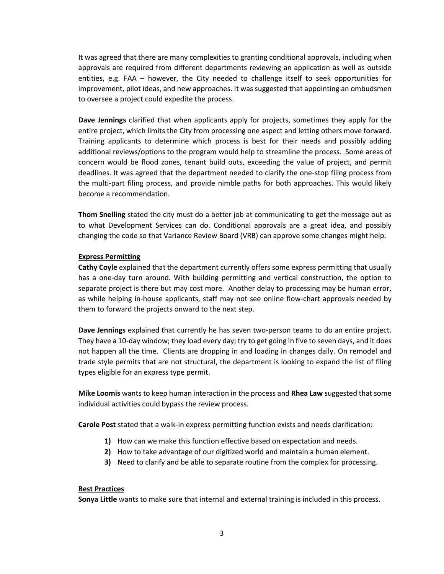It was agreed that there are many complexities to granting conditional approvals, including when approvals are required from different departments reviewing an application as well as outside entities, e.g. FAA – however, the City needed to challenge itself to seek opportunities for improvement, pilot ideas, and new approaches. It was suggested that appointing an ombudsmen to oversee a project could expedite the process.

**Dave Jennings** clarified that when applicants apply for projects, sometimes they apply for the entire project, which limits the City from processing one aspect and letting others move forward. Training applicants to determine which process is best for their needs and possibly adding additional reviews/options to the program would help to streamline the process. Some areas of concern would be flood zones, tenant build outs, exceeding the value of project, and permit deadlines. It was agreed that the department needed to clarify the one-stop filing process from the multi-part filing process, and provide nimble paths for both approaches. This would likely become a recommendation.

**Thom Snelling** stated the city must do a better job at communicating to get the message out as to what Development Services can do. Conditional approvals are a great idea, and possibly changing the code so that Variance Review Board (VRB) can approve some changes might help.

## **Express Permitting**

**Cathy Coyle** explained that the department currently offers some express permitting that usually has a one-day turn around. With building permitting and vertical construction, the option to separate project is there but may cost more. Another delay to processing may be human error, as while helping in-house applicants, staff may not see online flow-chart approvals needed by them to forward the projects onward to the next step.

**Dave Jennings** explained that currently he has seven two-person teams to do an entire project. They have a 10-day window; they load every day; try to get going in five to seven days, and it does not happen all the time. Clients are dropping in and loading in changes daily. On remodel and trade style permits that are not structural, the department is looking to expand the list of filing types eligible for an express type permit.

**Mike Loomis** wants to keep human interaction in the process and **Rhea Law** suggested that some individual activities could bypass the review process.

**Carole Post** stated that a walk-in express permitting function exists and needs clarification:

- **1)** How can we make this function effective based on expectation and needs.
- **2)** How to take advantage of our digitized world and maintain a human element.
- **3)** Need to clarify and be able to separate routine from the complex for processing.

## **Best Practices**

**Sonya Little** wants to make sure that internal and external training is included in this process.